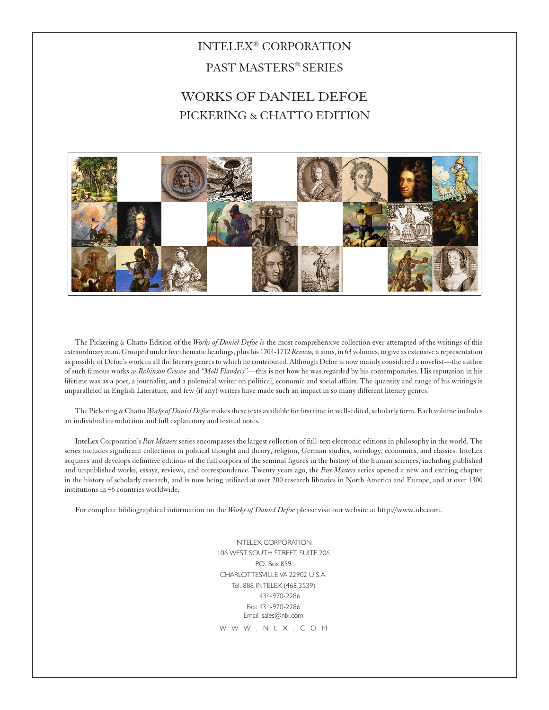## INTELEX® CORPORATION PAST MASTERS® SERIES

## WORKS OF DANIEL DEFOE PICKERING & CHATTO EDITION



The Pickering & Chatto Edition of the *Works of Daniel Defoe i*s the most comprehensive collection ever attempted of the writings of this extraordinary man. Grouped under five thematic headings, plus his 1704-1712 *Review,* it aims, in 63 volumes, to give as extensive a representation as possible of Defoe's work in all the literary genres to which he contributed. Although Defoe is now mainly considered a novelist*—*the author of such famous works as *Robinson Crusoe* and *"Moll Flanders"—*this is not how he was regarded by his contemporaries. His reputation in his lifetime was as a poet, a journalist, and a polemical writer on political, economic and social affairs. The quantity and range of his writings is unparalleled in English Literature, and few (if any) writers have made such an impact in so many different literary genres.

The Pickering & Chatto *Works of Daniel Defoe* makes these texts available for first time in well-edited, scholarly form. Each volume includes an individual introduction and full explanatory and textual notes.

InteLex Corporation's *Past Masters* series encompasses the largest collection of full-text electronic editions in philosophy in the world. The series includes significant collections in political thought and theory, religion, German studies, sociology, economics, and classics. InteLex acquires and develops definitive editions of the full corpora of the seminal figures in the history of the human sciences, including published and unpublished works, essays, reviews, and correspondence. Twenty years ago, the *Past Masters* series opened a new and exciting chapter in the history of scholarly research, and is now being utilized at over 200 research libraries in North America and Europe, and at over 1300 institutions in 46 countries worldwide.

For complete bibliographical information on the *Works of Daniel Defoe* please visit our website at http://www.nlx.com.

INTELEX CORPORATION 106 WEST SOUTH STREET, SUITE 206 P.O. Box 859 CHARLOTTESVILLE VA 22902 U.S.A. Tel. 888.INTFLFX (468.3539) 434-970-2286 Fax: 434-970-2286 Email: sales@nlx.com W W W . N | X . C O M